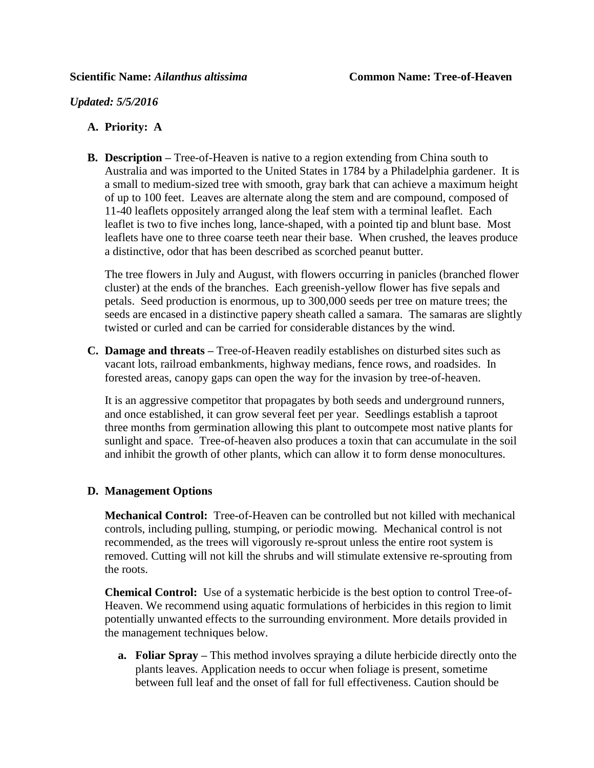*Updated: 5/5/2016*

## **A. Priority: A**

**B. Description –** Tree-of-Heaven is native to a region extending from China south to Australia and was imported to the United States in 1784 by a Philadelphia gardener. It is a small to medium-sized tree with smooth, gray bark that can achieve a maximum height of up to 100 feet. Leaves are alternate along the stem and are compound, composed of 11-40 leaflets oppositely arranged along the leaf stem with a terminal leaflet. Each leaflet is two to five inches long, lance-shaped, with a pointed tip and blunt base. Most leaflets have one to three coarse teeth near their base. When crushed, the leaves produce a distinctive, odor that has been described as scorched peanut butter.

The tree flowers in July and August, with flowers occurring in panicles (branched flower cluster) at the ends of the branches. Each greenish-yellow flower has five sepals and petals. Seed production is enormous, up to 300,000 seeds per tree on mature trees; the seeds are encased in a distinctive papery sheath called a samara. The samaras are slightly twisted or curled and can be carried for considerable distances by the wind.

**C. Damage and threats –** Tree-of-Heaven readily establishes on disturbed sites such as vacant lots, railroad embankments, highway medians, fence rows, and roadsides. In forested areas, canopy gaps can open the way for the invasion by tree-of-heaven.

It is an aggressive competitor that propagates by both seeds and underground runners, and once established, it can grow several feet per year. Seedlings establish a taproot three months from germination allowing this plant to outcompete most native plants for sunlight and space. Tree-of-heaven also produces a toxin that can accumulate in the soil and inhibit the growth of other plants, which can allow it to form dense monocultures.

## **D. Management Options**

**Mechanical Control:** Tree-of-Heaven can be controlled but not killed with mechanical controls, including pulling, stumping, or periodic mowing. Mechanical control is not recommended, as the trees will vigorously re-sprout unless the entire root system is removed. Cutting will not kill the shrubs and will stimulate extensive re-sprouting from the roots.

**Chemical Control:** Use of a systematic herbicide is the best option to control Tree-of-Heaven. We recommend using aquatic formulations of herbicides in this region to limit potentially unwanted effects to the surrounding environment. More details provided in the management techniques below.

**a. Foliar Spray –** This method involves spraying a dilute herbicide directly onto the plants leaves. Application needs to occur when foliage is present, sometime between full leaf and the onset of fall for full effectiveness. Caution should be